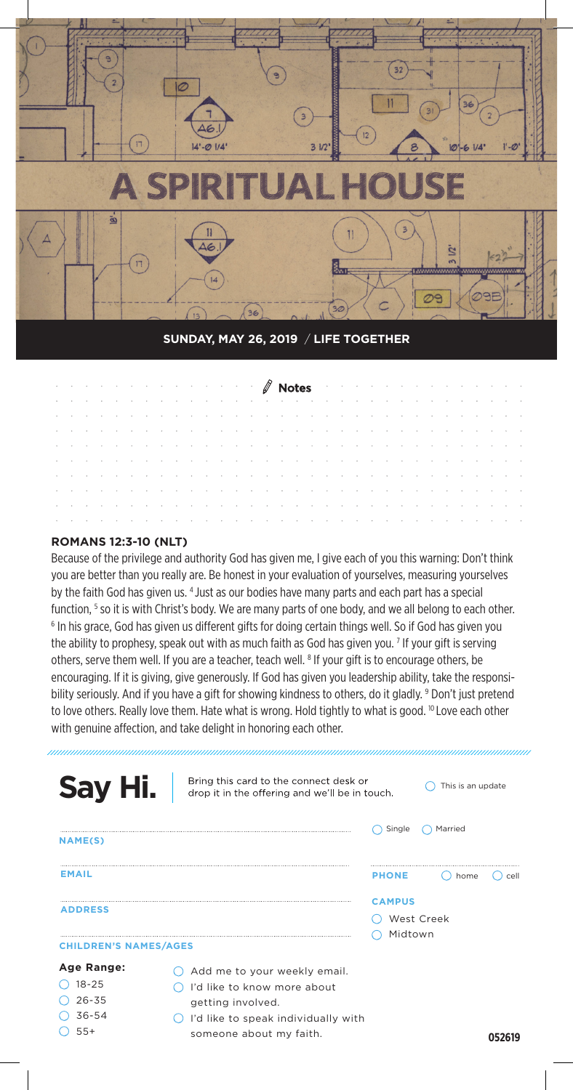

#### **SUNDAY, MAY 26, 2019** / **LIFE TOGETHER**

| <u> 2008 - Andrea State Barbara, amerikana di Karatana aktor dan sebagai di Karatana di Karatana di Karatana di K</u>                                                                                                         |  |  |  |  |  |  |  |  |  |  |  |  |  |  |  |
|-------------------------------------------------------------------------------------------------------------------------------------------------------------------------------------------------------------------------------|--|--|--|--|--|--|--|--|--|--|--|--|--|--|--|
| and a construction of the construction of the construction of the construction of the construction of the construction                                                                                                        |  |  |  |  |  |  |  |  |  |  |  |  |  |  |  |
| and a construction of the construction of the construction of the construction of the construction of the construction                                                                                                        |  |  |  |  |  |  |  |  |  |  |  |  |  |  |  |
| and a construction of the construction of the construction of the construction of the construction of the construction                                                                                                        |  |  |  |  |  |  |  |  |  |  |  |  |  |  |  |
| and a series of the contract of the contract of the contract of the contract of the contract of the contract of                                                                                                               |  |  |  |  |  |  |  |  |  |  |  |  |  |  |  |
| a construction of the construction of the construction of the construction of the construction of the construction                                                                                                            |  |  |  |  |  |  |  |  |  |  |  |  |  |  |  |
| and a construction of the construction of the construction of the construction of the construction of the construction of the construction of the construction of the construction of the construction of the construction of |  |  |  |  |  |  |  |  |  |  |  |  |  |  |  |
| and a construction of the construction of the construction of the construction of the construction of the construction                                                                                                        |  |  |  |  |  |  |  |  |  |  |  |  |  |  |  |
| and a construction of the construction of the construction of the construction of the construction of the construction                                                                                                        |  |  |  |  |  |  |  |  |  |  |  |  |  |  |  |
| and a construction of the construction of the construction of the construction of the construction of the construction                                                                                                        |  |  |  |  |  |  |  |  |  |  |  |  |  |  |  |

#### **ROMANS 12:3-10 (NLT)**

Because of the privilege and authority God has given me, I give each of you this warning: Don't think you are better than you really are. Be honest in your evaluation of yourselves, measuring yourselves by the faith God has given us. 4 Just as our bodies have many parts and each part has a special function, <sup>5</sup> so it is with Christ's body. We are many parts of one body, and we all belong to each other.<br><sup>6</sup> In his grace, God has given us different gifts for doing certain things well. So if God has given you. <sup>6</sup> In his grace, God has given us different gifts for doing certain things well. So if God has given you the ability to prophesy, speak out with as much faith as God has given you. <sup>7</sup> If your gift is serving others, serve them well. If you are a teacher, teach well. <sup>8</sup> If your gift is to encourage others, be encouraging. If it is giving, give generously. If God has given you leadership ability, take the responsibility seriously. And if you have a gift for showing kindness to others, do it gladly. <sup>9</sup> Don't just pretend to love others. Really love them. Hate what is wrong. Hold tightly to what is good. <sup>10</sup> Love each other with genuine affection, and take delight in honoring each other.

| Bring this card to the connect desk or<br>Say Hi.<br>drop it in the offering and we'll be in touch.                                                                          | This is an update                      |
|------------------------------------------------------------------------------------------------------------------------------------------------------------------------------|----------------------------------------|
| <b>NAME(S)</b>                                                                                                                                                               | Single<br>Married                      |
| <b>EMAIL</b>                                                                                                                                                                 | <b>PHONE</b><br>home<br>cell           |
| <b>ADDRESS</b><br><b>CHILDREN'S NAMES/AGES</b>                                                                                                                               | <b>CAMPUS</b><br>West Creek<br>Midtown |
| Age Range:<br>Add me to your weekly email.<br>$18 - 25$<br>I'd like to know more about<br>$26 - 35$<br>getting involved.<br>$36 - 54$<br>I'd like to speak individually with |                                        |